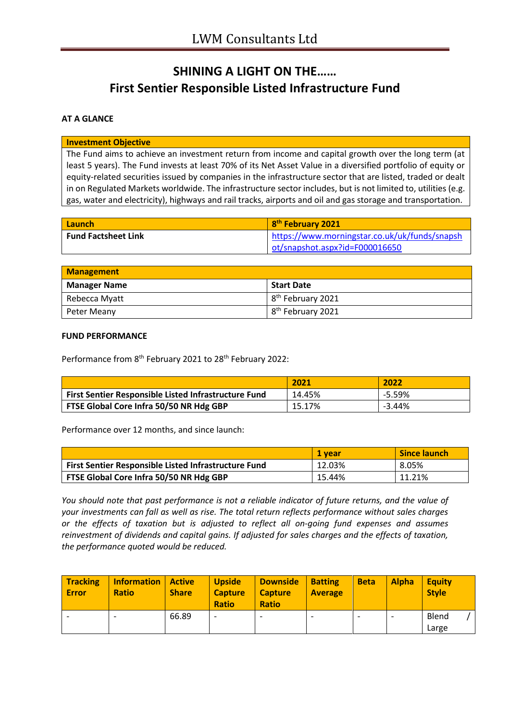# **SHINING A LIGHT ON THE…… First Sentier Responsible Listed Infrastructure Fund**

### **AT A GLANCE**

#### **Investment Objective**

The Fund aims to achieve an investment return from income and capital growth over the long term (at least 5 years). The Fund invests at least 70% of its Net Asset Value in a diversified portfolio of equity or equity-related securities issued by companies in the infrastructure sector that are listed, traded or dealt in on Regulated Markets worldwide. The infrastructure sector includes, but is not limited to, utilities (e.g. gas, water and electricity), highways and rail tracks, airports and oil and gas storage and transportation.

| Launch                     | 8 <sup>th</sup> February 2021                 |
|----------------------------|-----------------------------------------------|
| <b>Fund Factsheet Link</b> | https://www.morningstar.co.uk/uk/funds/snapsh |
|                            | ot/snapshot.aspx?id=F000016650                |

| <b>Management</b>   |                               |
|---------------------|-------------------------------|
| <b>Manager Name</b> | <b>Start Date</b>             |
| Rebecca Myatt       | 8 <sup>th</sup> February 2021 |
| Peter Meany         | 8 <sup>th</sup> February 2021 |

#### **FUND PERFORMANCE**

Performance from 8<sup>th</sup> February 2021 to 28<sup>th</sup> February 2022:

|                                                      | 2021   | 2022     |
|------------------------------------------------------|--------|----------|
| First Sentier Responsible Listed Infrastructure Fund | 14.45% | $-5.59%$ |
| FTSE Global Core Infra 50/50 NR Hdg GBP              | 15.17% | $-3.44%$ |

Performance over 12 months, and since launch:

|                                                             | 1 vear | <b>Since launch</b> |
|-------------------------------------------------------------|--------|---------------------|
| <b>First Sentier Responsible Listed Infrastructure Fund</b> | 12.03% | 8.05%               |
| FTSE Global Core Infra 50/50 NR Hdg GBP                     | 15.44% | 11.21%              |

*You should note that past performance is not a reliable indicator of future returns, and the value of your investments can fall as well as rise. The total return reflects performance without sales charges or the effects of taxation but is adjusted to reflect all on-going fund expenses and assumes reinvestment of dividends and capital gains. If adjusted for sales charges and the effects of taxation, the performance quoted would be reduced.*

| <b>Tracking</b><br><b>Error</b> | <b>Information</b><br><b>Ratio</b> | Active<br><b>Share</b> | <b>Upside</b><br><b>Capture</b><br><b>Ratio</b> | <b>Downside</b><br><b>Capture</b><br><b>Ratio</b> | <b>Batting</b><br><b>Average</b> | <b>Beta</b> | <b>Alpha</b> | <b>Equity</b><br><b>Style</b> |
|---------------------------------|------------------------------------|------------------------|-------------------------------------------------|---------------------------------------------------|----------------------------------|-------------|--------------|-------------------------------|
|                                 |                                    | 66.89                  |                                                 | $\overline{\phantom{0}}$                          | -                                |             |              | Blend<br>Large                |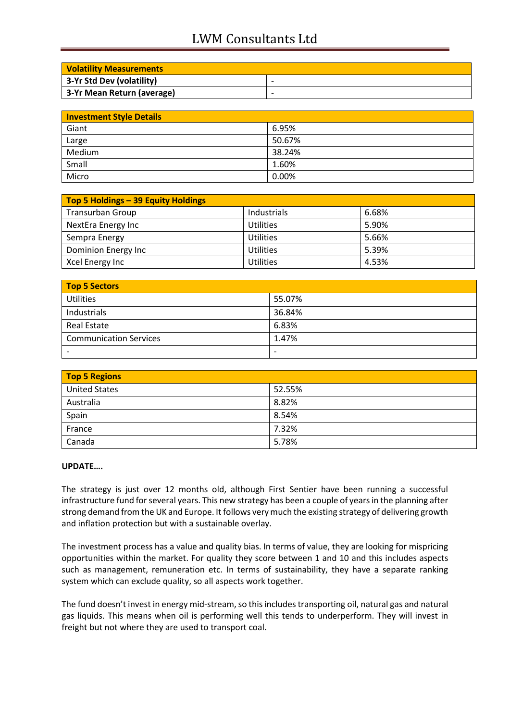# LWM Consultants Ltd

| <b>Volatility Measurements</b> |                          |
|--------------------------------|--------------------------|
| 3-Yr Std Dev (volatility)      | $\overline{\phantom{0}}$ |
| 3-Yr Mean Return (average)     | $\overline{\phantom{0}}$ |

| <b>Investment Style Details</b> |        |  |
|---------------------------------|--------|--|
| Giant                           | 6.95%  |  |
| Large                           | 50.67% |  |
| Medium                          | 38.24% |  |
| Small                           | 1.60%  |  |
| Micro                           | 0.00%  |  |

| Top 5 Holdings - 39 Equity Holdings |                  |       |  |
|-------------------------------------|------------------|-------|--|
| <b>Transurban Group</b>             | Industrials      | 6.68% |  |
| NextEra Energy Inc                  | <b>Utilities</b> | 5.90% |  |
| Sempra Energy                       | <b>Utilities</b> | 5.66% |  |
| Dominion Energy Inc                 | <b>Utilities</b> | 5.39% |  |
| Xcel Energy Inc                     | <b>Utilities</b> | 4.53% |  |

| Top 5 Sectors                 |                          |  |
|-------------------------------|--------------------------|--|
| <b>Utilities</b>              | 55.07%                   |  |
| Industrials                   | 36.84%                   |  |
| <b>Real Estate</b>            | 6.83%                    |  |
| <b>Communication Services</b> | 1.47%                    |  |
|                               | $\overline{\phantom{0}}$ |  |

| <b>Top 5 Regions</b> |        |  |
|----------------------|--------|--|
| <b>United States</b> | 52.55% |  |
| Australia            | 8.82%  |  |
| Spain                | 8.54%  |  |
| France               | 7.32%  |  |
| Canada               | 5.78%  |  |

#### **UPDATE….**

The strategy is just over 12 months old, although First Sentier have been running a successful infrastructure fund for several years. This new strategy has been a couple of years in the planning after strong demand from the UK and Europe. It follows very much the existing strategy of delivering growth and inflation protection but with a sustainable overlay.

The investment process has a value and quality bias. In terms of value, they are looking for mispricing opportunities within the market. For quality they score between 1 and 10 and this includes aspects such as management, remuneration etc. In terms of sustainability, they have a separate ranking system which can exclude quality, so all aspects work together.

The fund doesn't invest in energy mid-stream, so this includes transporting oil, natural gas and natural gas liquids. This means when oil is performing well this tends to underperform. They will invest in freight but not where they are used to transport coal.